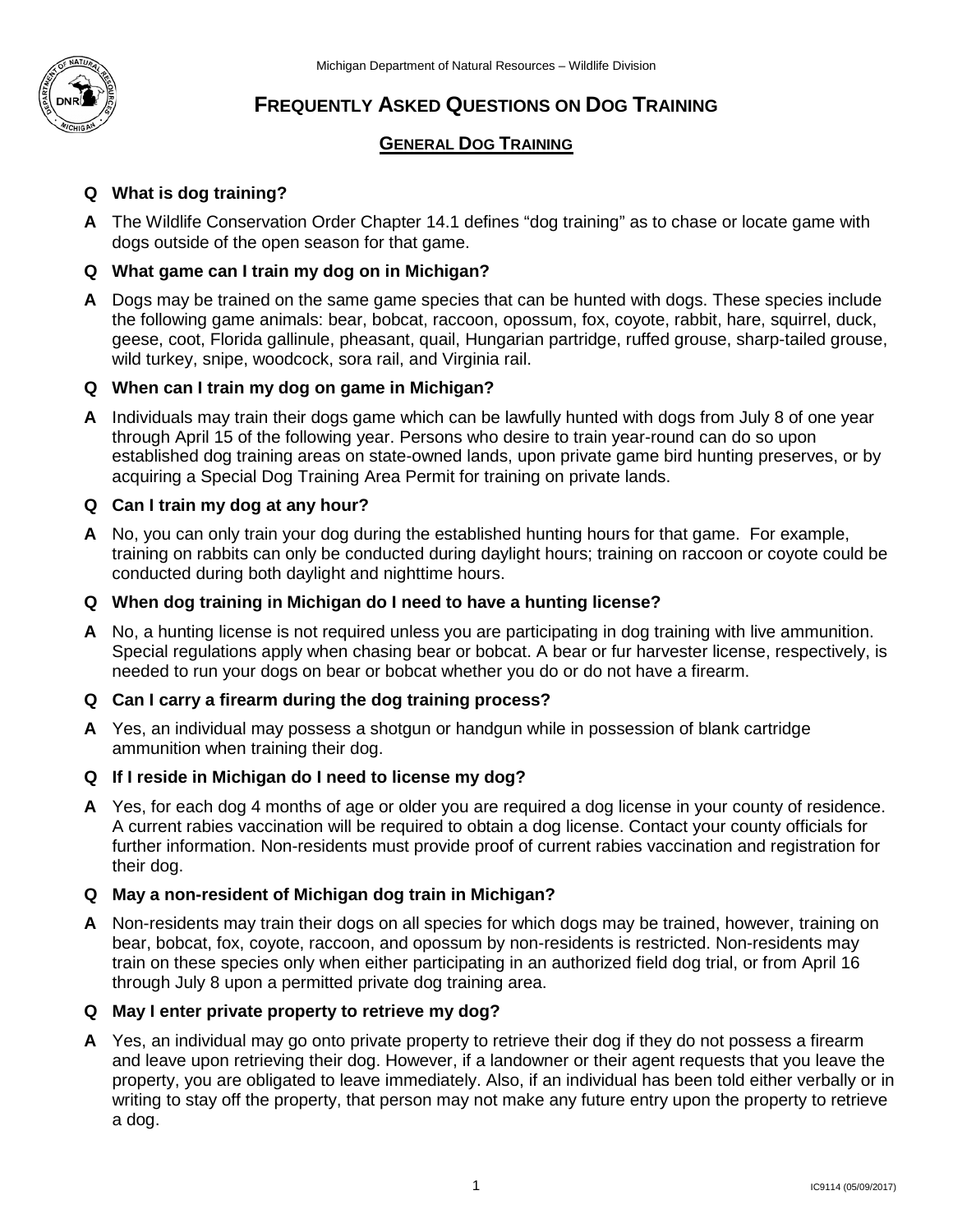

# **FREQUENTLY ASKED QUESTIONS ON DOG TRAINING**

# **GENERAL DOG TRAINING**

# **Q What is dog training?**

 **A** The Wildlife Conservation Order Chapter 14.1 defines "dog training" as to chase or locate game with dogs outside of the open season for that game.

#### **Q What game can I train my dog on in Michigan?**

**A** Dogs may be trained on the same game species that can be hunted with dogs. These species include the following game animals: bear, bobcat, raccoon, opossum, fox, coyote, rabbit, hare, squirrel, duck, geese, coot, Florida gallinule, pheasant, quail, Hungarian partridge, ruffed grouse, sharp-tailed grouse, wild turkey, snipe, woodcock, sora rail, and Virginia rail.

#### **Q When can I train my dog on game in Michigan?**

 established dog training areas on state-owned lands, upon private game bird hunting preserves, or by acquiring a Special Dog Training Area Permit for training on private lands. **A** Individuals may train their dogs game which can be lawfully hunted with dogs from July 8 of one year through April 15 of the following year. Persons who desire to train year-round can do so upon

#### **Q Can I train my dog at any hour?**

 **A** No, you can only train your dog during the established hunting hours for that game. For example, conducted during both daylight and nighttime hours. training on rabbits can only be conducted during daylight hours; training on raccoon or coyote could be

#### **Q When dog training in Michigan do I need to have a hunting license?**

 **A** No, a hunting license is not required unless you are participating in dog training with live ammunition. Special regulations apply when chasing bear or bobcat. A bear or fur harvester license, respectively, is needed to run your dogs on bear or bobcat whether you do or do not have a firearm.

#### **Q Can I carry a firearm during the dog training process?**

**A** Yes, an individual may possess a shotgun or handgun while in possession of blank cartridge ammunition when training their dog.

# **Q If I reside in Michigan do I need to license my dog?**

 A current rabies vaccination will be required to obtain a dog license. Contact your county officials for **A** Yes, for each dog 4 months of age or older you are required a dog license in your county of residence. further information. Non-residents must provide proof of current rabies vaccination and registration for their dog.

#### **Q May a non-resident of Michigan dog train in Michigan?**

**A** Non-residents may train their dogs on all species for which dogs may be trained, however, training on bear, bobcat, fox, coyote, raccoon, and opossum by non-residents is restricted. Non-residents may train on these species only when either participating in an authorized field dog trial, or from April 16 through July 8 upon a permitted private dog training area.

#### **Q May I enter private property to retrieve my dog?**

 and leave upon retrieving their dog. However, if a landowner or their agent requests that you leave the writing to stay off the property, that person may not make any future entry upon the property to retrieve **A** Yes, an individual may go onto private property to retrieve their dog if they do not possess a firearm property, you are obligated to leave immediately. Also, if an individual has been told either verbally or in a dog.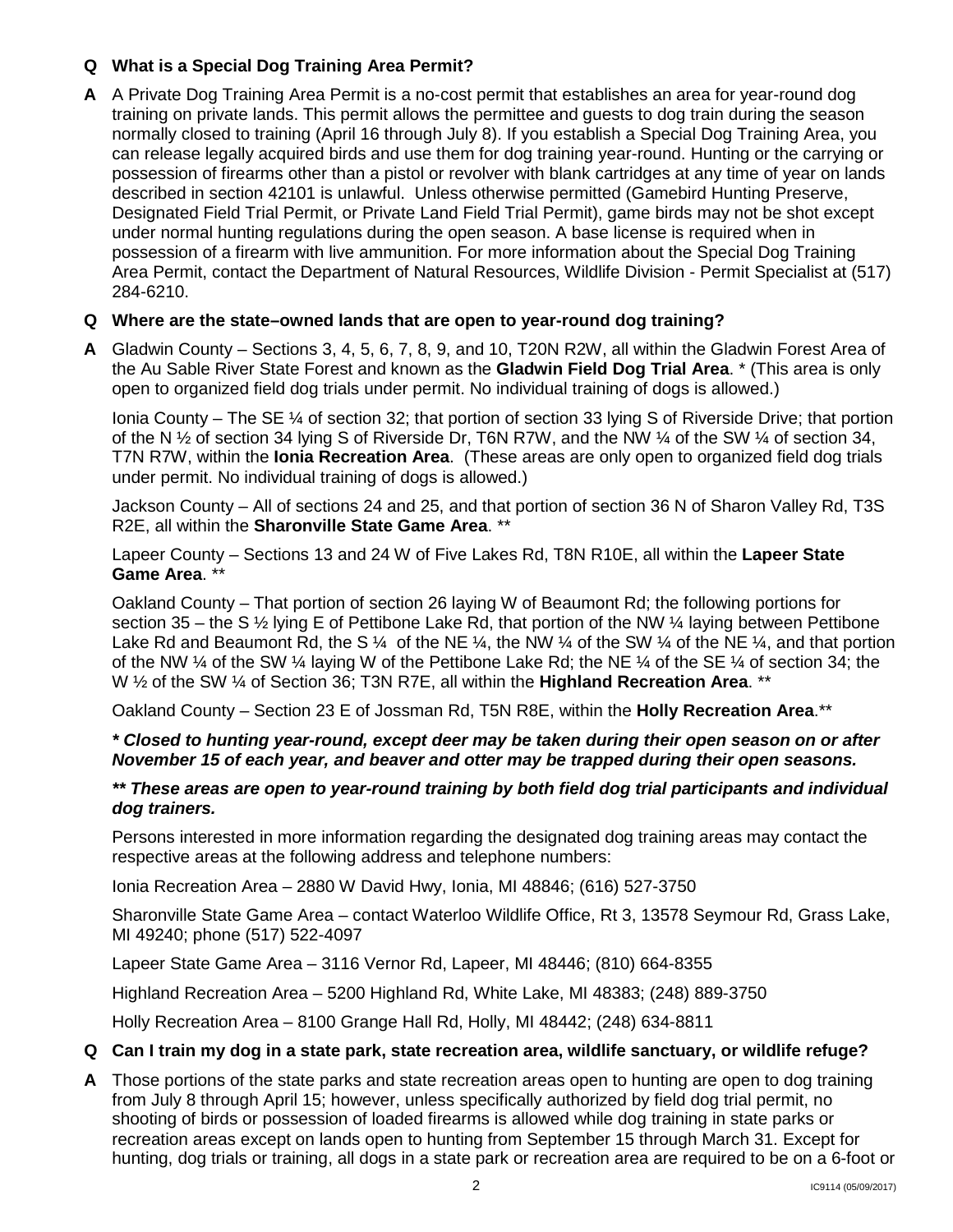# **Q What is a Special Dog Training Area Permit?**

 training on private lands. This permit allows the permittee and guests to dog train during the season Designated Field Trial Permit, or Private Land Field Trial Permit), game birds may not be shot except possession of a firearm with live ammunition. For more information about the Special Dog Training Area Permit, contact the Department of Natural Resources, Wildlife Division - Permit Specialist at (517) **A** A Private Dog Training Area Permit is a no-cost permit that establishes an area for year-round dog normally closed to training (April 16 through July 8). If you establish a Special Dog Training Area, you can release legally acquired birds and use them for dog training year-round. Hunting or the carrying or possession of firearms other than a pistol or revolver with blank cartridges at any time of year on lands described in section 42101 is unlawful. Unless otherwise permitted (Gamebird Hunting Preserve, under normal hunting regulations during the open season. A base license is required when in 284-6210.

# **Q Where are the state–owned lands that are open to year-round dog training?**

 **A** Gladwin County – Sections 3, 4, 5, 6, 7, 8, 9, and 10, T20N R2W, all within the Gladwin Forest Area of the Au Sable River State Forest and known as the **Gladwin Field Dog Trial Area**. \* (This area is only open to organized field dog trials under permit. No individual training of dogs is allowed.)

 of the N ½ of section 34 lying S of Riverside Dr, T6N R7W, and the NW ¼ of the SW ¼ of section 34, T7N R7W, within the **Ionia Recreation Area**. (These areas are only open to organized field dog trials Ionia County – The SE ¼ of section 32; that portion of section 33 lying S of Riverside Drive; that portion under permit. No individual training of dogs is allowed.)

 Jackson County – All of sections 24 and 25, and that portion of section 36 N of Sharon Valley Rd, T3S R2E, all within the **Sharonville State Game Area**. \*\*

Lapeer County – Sections 13 and 24 W of Five Lakes Rd, T8N R10E, all within the **Lapeer State Game Area**. \*\*

 Oakland County – That portion of section 26 laying W of Beaumont Rd; the following portions for section 35 – the S ½ lying E of Pettibone Lake Rd, that portion of the NW ¼ laying between Pettibone Lake Rd and Beaumont Rd, the S  $\frac{1}{4}$  of the NE  $\frac{1}{4}$ , the NW  $\frac{1}{4}$  of the SW  $\frac{1}{4}$  of the NE  $\frac{1}{4}$ , and that portion of the NW ¼ of the SW ¼ laying W of the Pettibone Lake Rd; the NE ¼ of the SE ¼ of section 34; the W ½ of the SW ¼ of Section 36; T3N R7E, all within the **Highland Recreation Area**. \*\*

Oakland County – Section 23 E of Jossman Rd, T5N R8E, within the **Holly Recreation Area**.\*\*

#### *\* Closed to hunting year-round, except deer may be taken during their open season on or after November 15 of each year, and beaver and otter may be trapped during their open seasons.*

 *\*\* These areas are open to year-round training by both field dog trial participants and individual dog trainers.* 

Persons interested in more information regarding the designated dog training areas may contact the respective areas at the following address and telephone numbers:

Ionia Recreation Area – 2880 W David Hwy, Ionia, MI 48846; (616) 527-3750

Sharonville State Game Area – contact Waterloo Wildlife Office, Rt 3, 13578 Seymour Rd, Grass Lake, MI 49240; phone (517) 522-4097

Lapeer State Game Area – 3116 Vernor Rd, Lapeer, MI 48446; (810) 664-8355

Highland Recreation Area – 5200 Highland Rd, White Lake, MI 48383; (248) 889-3750

Holly Recreation Area – 8100 Grange Hall Rd, Holly, MI 48442; (248) 634-8811

#### **Q Can I train my dog in a state park, state recreation area, wildlife sanctuary, or wildlife refuge?**

 from July 8 through April 15; however, unless specifically authorized by field dog trial permit, no recreation areas except on lands open to hunting from September 15 through March 31. Except for **A** Those portions of the state parks and state recreation areas open to hunting are open to dog training shooting of birds or possession of loaded firearms is allowed while dog training in state parks or hunting, dog trials or training, all dogs in a state park or recreation area are required to be on a 6-foot or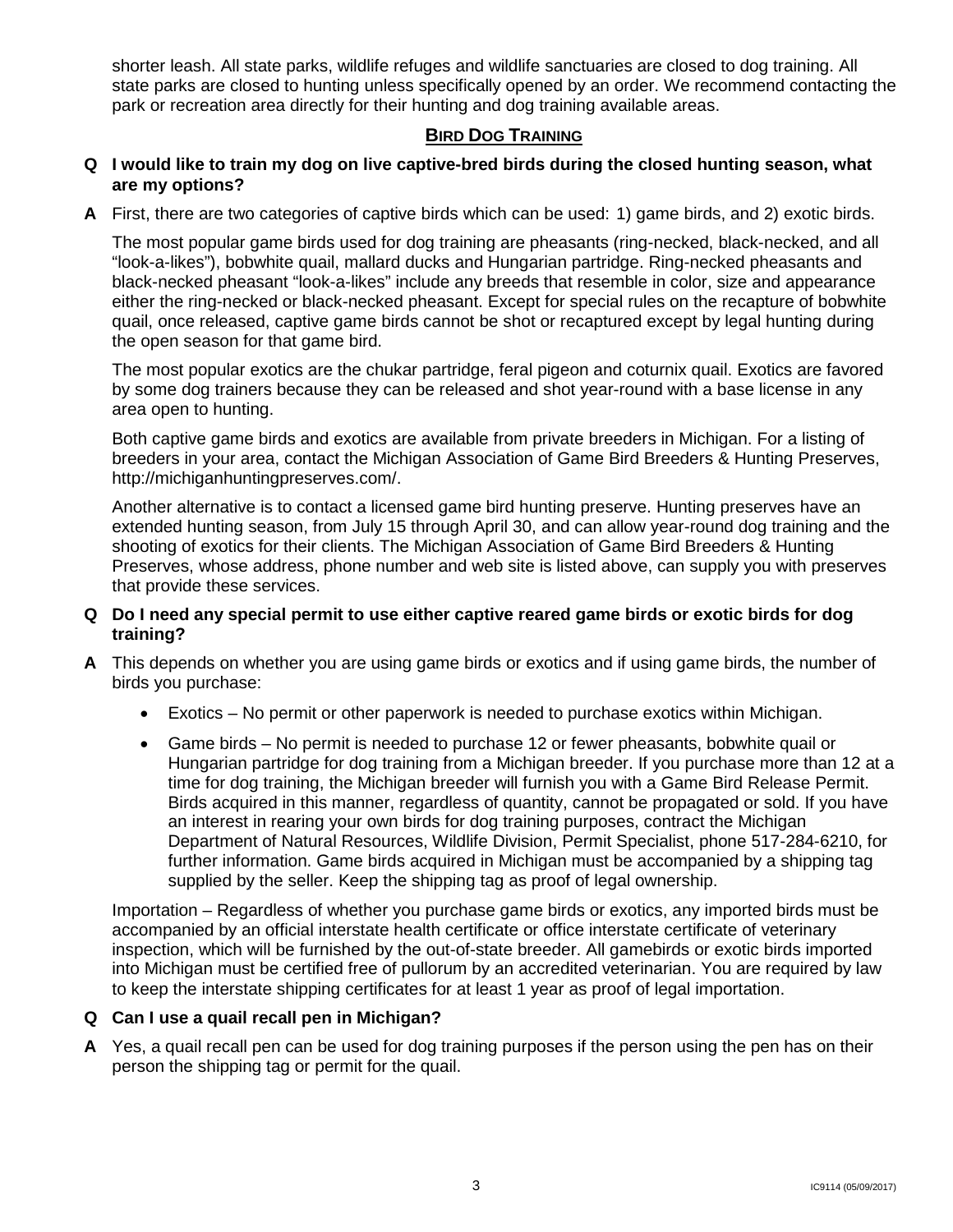shorter leash. All state parks, wildlife refuges and wildlife sanctuaries are closed to dog training. All state parks are closed to hunting unless specifically opened by an order. We recommend contacting the park or recreation area directly for their hunting and dog training available areas.

#### **BIRD DOG TRAINING**

#### **Q I would like to train my dog on live captive-bred birds during the closed hunting season, what are my options?**

**A** First, there are two categories of captive birds which can be used: 1) game birds, and 2) exotic birds.

 The most popular game birds used for dog training are pheasants (ring-necked, black-necked, and all black-necked pheasant "look-a-likes" include any breeds that resemble in color, size and appearance either the ring-necked or black-necked pheasant. Except for special rules on the recapture of bobwhite "look-a-likes"), bobwhite quail, mallard ducks and Hungarian partridge. Ring-necked pheasants and quail, once released, captive game birds cannot be shot or recaptured except by legal hunting during the open season for that game bird.

The most popular exotics are the chukar partridge, feral pigeon and coturnix quail. Exotics are favored by some dog trainers because they can be released and shot year-round with a base license in any area open to hunting.

Both captive game birds and exotics are available from private breeders in Michigan. For a listing of breeders in your area, contact the Michigan Association of Game Bird Breeders & Hunting Preserves, http://michiganhuntingpreserves.com/.

Another alternative is to contact a licensed game bird hunting preserve. Hunting preserves have an extended hunting season, from July 15 through April 30, and can allow year-round dog training and the shooting of exotics for their clients. The Michigan Association of Game Bird Breeders & Hunting Preserves, whose address, phone number and web site is listed above, can supply you with preserves that provide these services.

#### **Q Do I need any special permit to use either captive reared game birds or exotic birds for dog training?**

- **A** This depends on whether you are using game birds or exotics and if using game birds, the number of birds you purchase:
	- Exotics No permit or other paperwork is needed to purchase exotics within Michigan.
	- an interest in rearing your own birds for dog training purposes, contract the Michigan • Game birds – No permit is needed to purchase 12 or fewer pheasants, bobwhite quail or Hungarian partridge for dog training from a Michigan breeder. If you purchase more than 12 at a time for dog training, the Michigan breeder will furnish you with a Game Bird Release Permit. Birds acquired in this manner, regardless of quantity, cannot be propagated or sold. If you have Department of Natural Resources, Wildlife Division, Permit Specialist, phone 517-284-6210, for further information. Game birds acquired in Michigan must be accompanied by a shipping tag supplied by the seller. Keep the shipping tag as proof of legal ownership.

 Importation – Regardless of whether you purchase game birds or exotics, any imported birds must be to keep the interstate shipping certificates for at least 1 year as proof of legal importation. accompanied by an official interstate health certificate or office interstate certificate of veterinary inspection, which will be furnished by the out-of-state breeder. All gamebirds or exotic birds imported into Michigan must be certified free of pullorum by an accredited veterinarian. You are required by law

#### **Q Can I use a quail recall pen in Michigan?**

**A** Yes, a quail recall pen can be used for dog training purposes if the person using the pen has on their person the shipping tag or permit for the quail.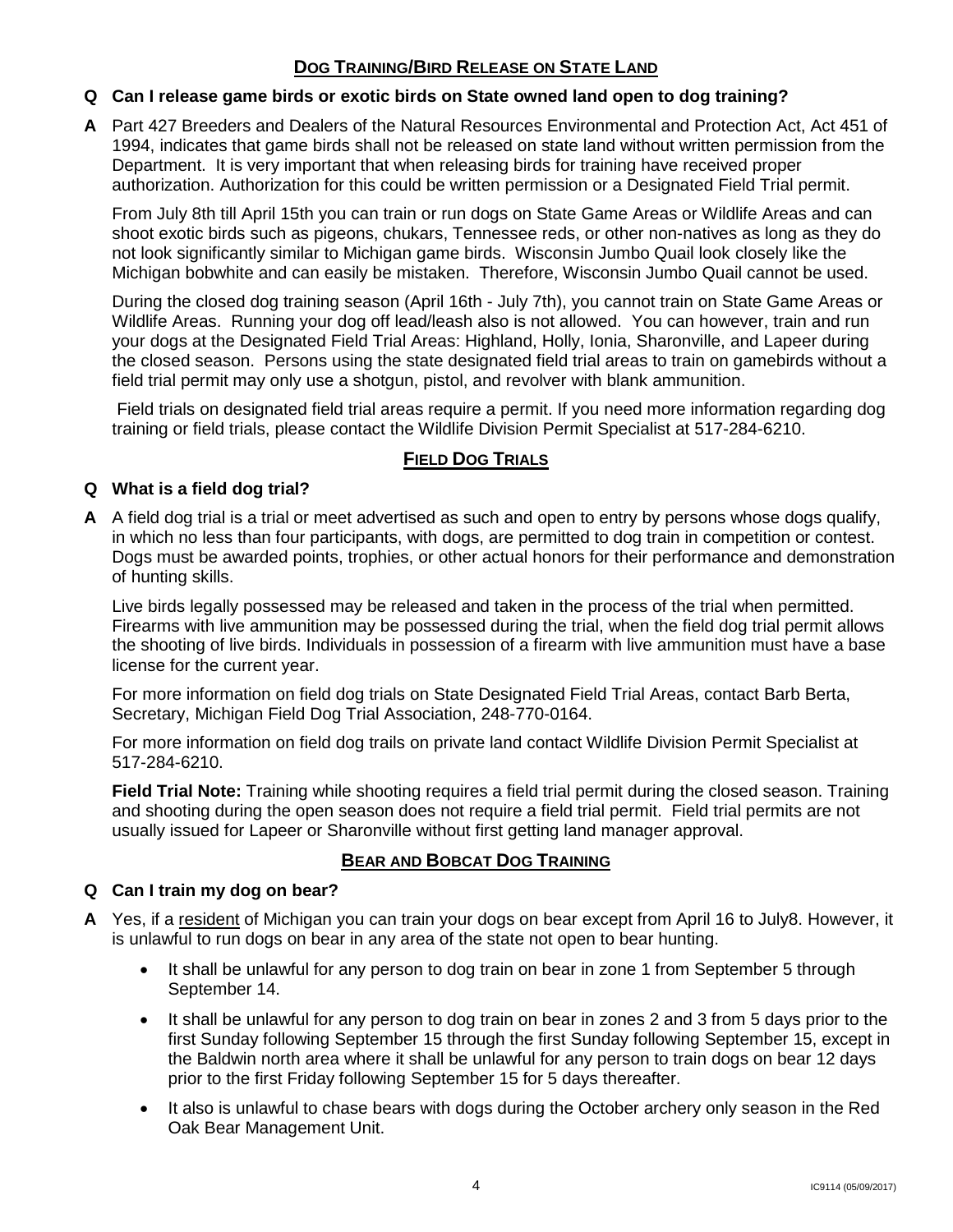# **DOG TRAINING/BIRD RELEASE ON STATE LAND**

# **Q Can I release game birds or exotic birds on State owned land open to dog training?**

 1994, indicates that game birds shall not be released on state land without written permission from the **A** Part 427 Breeders and Dealers of the Natural Resources Environmental and Protection Act, Act 451 of Department. It is very important that when releasing birds for training have received proper authorization. Authorization for this could be written permission or a Designated Field Trial permit.

 shoot exotic birds such as pigeons, chukars, Tennessee reds, or other non-natives as long as they do not look significantly similar to Michigan game birds. Wisconsin Jumbo Quail look closely like the Michigan bobwhite and can easily be mistaken. Therefore, Wisconsin Jumbo Quail cannot be used. From July 8th till April 15th you can train or run dogs on State Game Areas or Wildlife Areas and can

During the closed dog training season (April 16th - July 7th), you cannot train on State Game Areas or Wildlife Areas. Running your dog off lead/leash also is not allowed. You can however, train and run your dogs at the Designated Field Trial Areas: Highland, Holly, Ionia, Sharonville, and Lapeer during the closed season. Persons using the state designated field trial areas to train on gamebirds without a field trial permit may only use a shotgun, pistol, and revolver with blank ammunition.

 training or field trials, please contact the Wildlife Division Permit Specialist at 517-284-6210. Field trials on designated field trial areas require a permit. If you need more information regarding dog

# **FIELD DOG TRIALS**

#### **Q What is a field dog trial?**

 **A** A field dog trial is a trial or meet advertised as such and open to entry by persons whose dogs qualify, in which no less than four participants, with dogs, are permitted to dog train in competition or contest. Dogs must be awarded points, trophies, or other actual honors for their performance and demonstration of hunting skills.

 Firearms with live ammunition may be possessed during the trial, when the field dog trial permit allows Live birds legally possessed may be released and taken in the process of the trial when permitted. the shooting of live birds. Individuals in possession of a firearm with live ammunition must have a base license for the current year.

For more information on field dog trials on State Designated Field Trial Areas, contact Barb Berta, Secretary, Michigan Field Dog Trial Association, 248-770-0164.

 517-284-6210. For more information on field dog trails on private land contact Wildlife Division Permit Specialist at

 **Field Trial Note:** Training while shooting requires a field trial permit during the closed season. Training and shooting during the open season does not require a field trial permit. Field trial permits are not usually issued for Lapeer or Sharonville without first getting land manager approval.

#### **BEAR AND BOBCAT DOG TRAINING**

#### **Q Can I train my dog on bear?**

- **A** Yes, if a resident of Michigan you can train your dogs on bear except from April 16 to July8. However, it is unlawful to run dogs on bear in any area of the state not open to bear hunting.
	- September 14. • It shall be unlawful for any person to dog train on bear in zone 1 from September 5 through
	- It shall be unlawful for any person to dog train on bear in zones 2 and 3 from 5 days prior to the prior to the first Friday following September 15 for 5 days thereafter. first Sunday following September 15 through the first Sunday following September 15, except in the Baldwin north area where it shall be unlawful for any person to train dogs on bear 12 days
	- Oak Bear Management Unit. • It also is unlawful to chase bears with dogs during the October archery only season in the Red